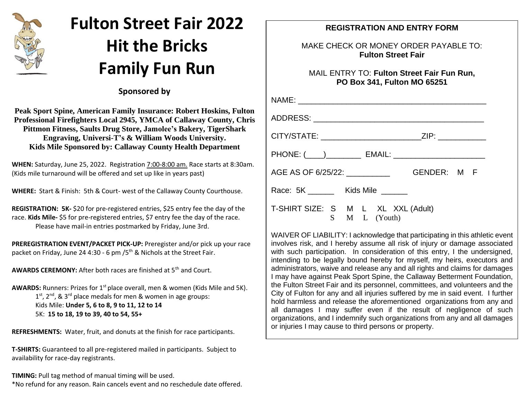

## **Fulton Street Fair 2022 Hit the Bricks Family Fun Run**

 **Sponsored by**

**Peak Sport Spine, American Family Insurance: Robert Hoskins, Fulton Professional Firefighters Local 2945, YMCA of Callaway County, Chris Pittmon Fitness, Saults Drug Store, Jamolee's Bakery, TigerShark Engraving, Universi-T's & William Woods University. Kids Mile Sponsored by: Callaway County Health Department**

**WHEN:** Saturday, June 25, 2022. Registration 7:00-8:00 am. Race starts at 8:30am. (Kids mile turnaround will be offered and set up like in years past)

**WHERE:** Start & Finish: 5th & Court- west of the Callaway County Courthouse.

**REGISTRATION: 5K-** \$20 for pre-registered entries, \$25 entry fee the day of the race. **Kids Mile-** \$5 for pre-registered entries, \$7 entry fee the day of the race. Please have mail-in entries postmarked by Friday, June 3rd.

**PREREGISTRATION EVENT/PACKET PICK-UP:** Preregister and/or pick up your race packet on Friday, June 24 4:30 - 6 pm /5<sup>th</sup> & Nichols at the Street Fair.

AWARDS CEREMONY: After both races are finished at 5<sup>th</sup> and Court.

AWARDS: Runners: Prizes for 1<sup>st</sup> place overall, men & women (Kids Mile and 5K).  $1<sup>st</sup>$ ,  $2<sup>nd</sup>$ , &  $3<sup>rd</sup>$  place medals for men & women in age groups: Kids Mile: **Under 5, 6 to 8, 9 to 11, 12 to 14** 5K: **15 to 18, 19 to 39, 40 to 54, 55+**

**REFRESHMENTS:** Water, fruit, and donuts at the finish for race participants.

**T-SHIRTS:** Guaranteed to all pre-registered mailed in participants. Subject to availability for race-day registrants.

**TIMING:** Pull tag method of manual timing will be used. \*No refund for any reason. Rain cancels event and no reschedule date offered.

## **REGISTRATION AND ENTRY FORM**

## MAKE CHECK OR MONEY ORDER PAYABLE TO: **Fulton Street Fair**

MAIL ENTRY TO: **Fulton Street Fair Fun Run, PO Box 341, Fulton MO 65251**

| CITY/STATE: _________________________ZIP: _____________ |  |
|---------------------------------------------------------|--|
|                                                         |  |
|                                                         |  |
| Race: 5K _________ Kids Mile _______                    |  |
| T-SHIRT SIZE: S M L XL XXL (Adult)<br>S M L (Youth)     |  |

WAIVER OF LIABILITY: I acknowledge that participating in this athletic event involves risk, and I hereby assume all risk of injury or damage associated with such participation. In consideration of this entry, I the undersigned, intending to be legally bound hereby for myself, my heirs, executors and administrators, waive and release any and all rights and claims for damages I may have against Peak Sport Spine, the Callaway Betterment Foundation, the Fulton Street Fair and its personnel, committees, and volunteers and the City of Fulton for any and all injuries suffered by me in said event. I further hold harmless and release the aforementioned organizations from any and all damages I may suffer even if the result of negligence of such organizations, and I indemnify such organizations from any and all damages or injuries I may cause to third persons or property.